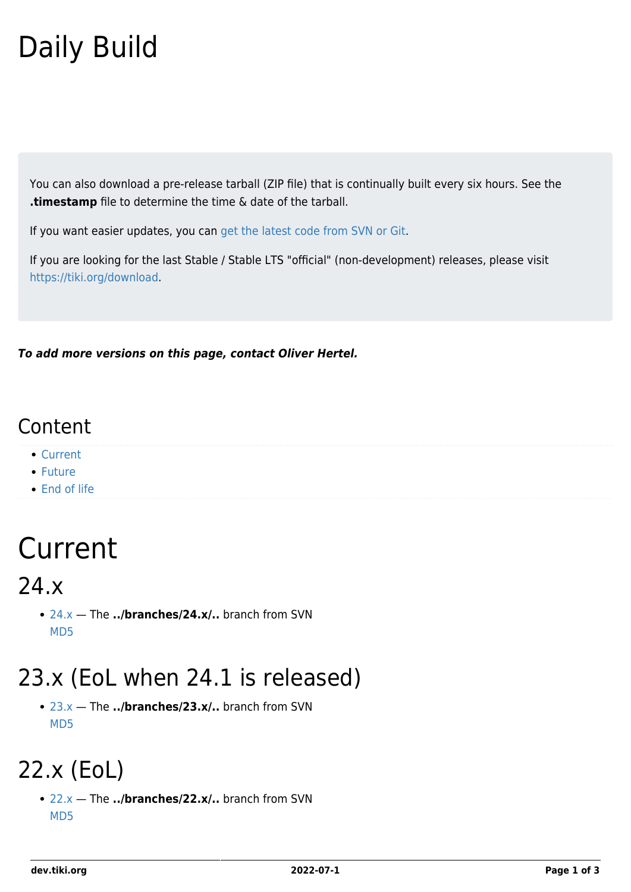# Daily Build

You can also download a pre-release tarball (ZIP file) that is continually built every six hours. See the **.timestamp** file to determine the time & date of the tarball.

If you want easier updates, you can [get the latest code from SVN or Git.](https://dev.tiki.org/Get-code)

If you are looking for the last Stable / Stable LTS "official" (non-development) releases, please visit <https://tiki.org/download>.

*To add more versions on this page, contact Oliver Hertel.*

#### Content

- [Current](#page--1-0)
- [Future](#page--1-0)
- [End of life](#page--1-0)

# Current

24.x

[24.x](https://tiki.org/tar/lastiki_BRANCH-24-x.zip) — The **../branches/24.x/..** branch from SVN [MD5](https://tiki.org/tar/lastiki_BRANCH-24-x.zip.md5)

#### 23.x (EoL when 24.1 is released)

[23.x](https://tiki.org/tar/lastiki_BRANCH-23-x.zip) — The **../branches/23.x/..** branch from SVN [MD5](https://tiki.org/tar/lastiki_BRANCH-23-x.zip.md5)

#### 22.x (EoL)

[22.x](https://tiki.org/tar/lastiki_BRANCH-22-x.zip) — The **../branches/22.x/..** branch from SVN [MD5](https://tiki.org/tar/lastiki_BRANCH-22-x.zip.md5)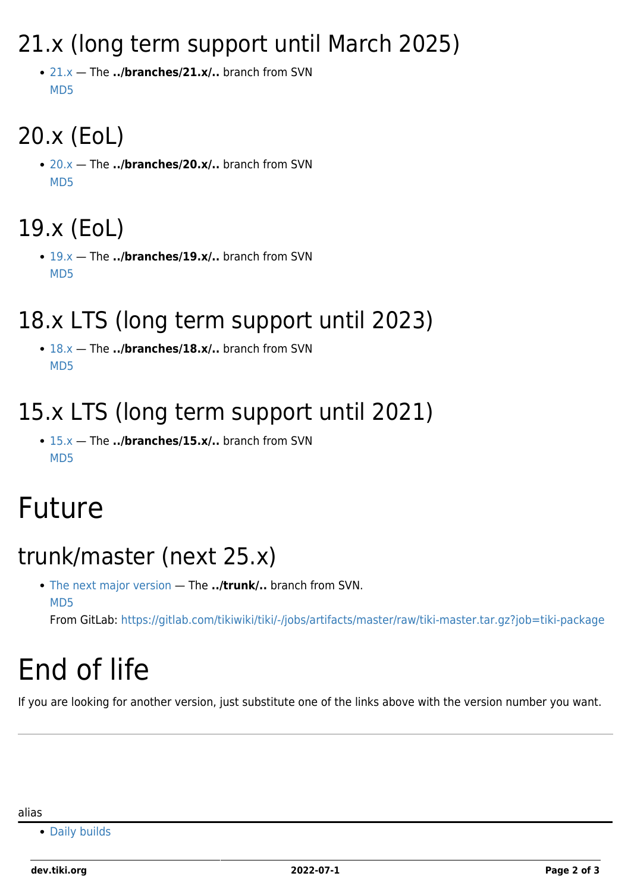#### 21.x (long term support until March 2025)

[21.x](https://tiki.org/tar/lastiki_BRANCH-21-x.zip) — The **../branches/21.x/..** branch from SVN [MD5](https://tiki.org/tar/lastiki_BRANCH-21-x.zip.md5)

## 20.x (EoL)

[20.x](https://tiki.org/tar/lastiki_BRANCH-20-x.zip) — The **../branches/20.x/..** branch from SVN [MD5](https://tiki.org/tar/lastiki_BRANCH-20-x.zip.md5)

## 19.x (EoL)

[19.x](https://tiki.org/tar/lastiki_BRANCH-19-x.zip) — The **../branches/19.x/..** branch from SVN [MD5](https://tiki.org/tar/lastiki_BRANCH-19-x.zip.md5)

#### 18.x LTS (long term support until 2023)

[18.x](https://tiki.org/tar/lastiki_BRANCH-18-x.zip) — The **../branches/18.x/..** branch from SVN [MD5](https://tiki.org/tar/lastiki_BRANCH-18-x.zip.md5)

#### 15.x LTS (long term support until 2021)

[15.x](https://tiki.org/tar/lastiki_BRANCH-15-x.zip) — The **../branches/15.x/..** branch from SVN [MD5](https://tiki.org/tar/lastiki_BRANCH-15-x.zip.md5)

# Future

#### trunk/master (next 25.x)

[The next major version](https://tiki.org/tar/lastiki_trunk.zip) — The **../trunk/..** branch from SVN. [MD5](https://tiki.org/tar/lastiki_trunk.zip.md5)

From GitLab:<https://gitlab.com/tikiwiki/tiki/-/jobs/artifacts/master/raw/tiki-master.tar.gz?job=tiki-package>

# End of life

If you are looking for another version, just substitute one of the links above with the version number you want.

[Daily builds](https://dev.tiki.org/Daily-builds)

alias